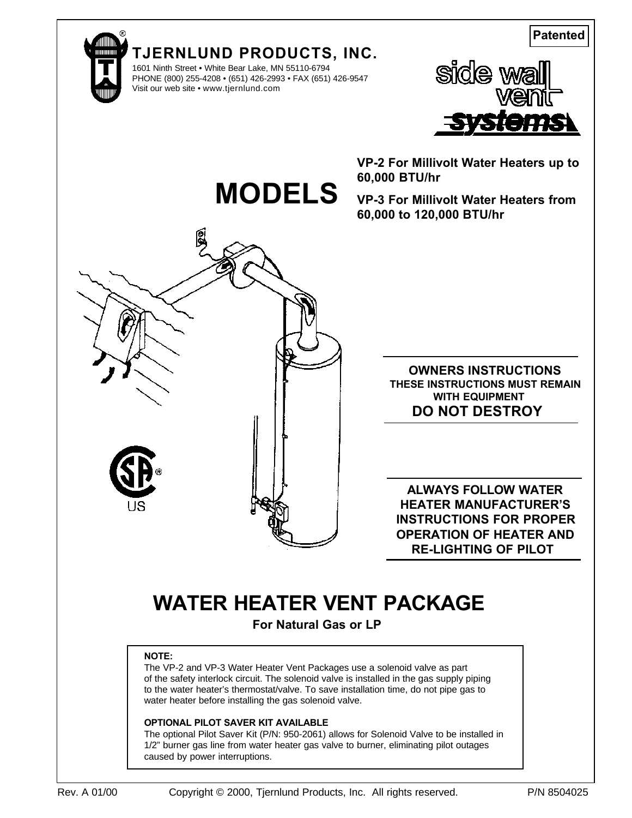**Patented**





**MODELS**

1601 Ninth Street • White Bear Lake, MN 55110-6794 PHONE (800) 255-4208 • (651) 426-2993 • FAX (651) 426-9547 Visit our web site • www.tjernlund.com



**VP-2 For Millivolt Water Heaters up to 60,000 BTU/hr**

**VP-3 For Millivolt Water Heaters from 60,000 to 120,000 BTU/hr**



**OWNERS INSTRUCTIONS THESE INSTRUCTIONS MUST REMAIN WITH EQUIPMENT DO NOT DESTROY**

**ALWAYS FOLLOW WATER HEATER MANUFACTURER'S INSTRUCTIONS FOR PROPER OPERATION OF HEATER AND RE-LIGHTING OF PILOT**

# **WATER HEATER VENT PACKAGE**

**For Natural Gas or LP**

### **NOTE:**

The VP-2 and VP-3 Water Heater Vent Packages use a solenoid valve as part of the safety interlock circuit. The solenoid valve is installed in the gas supply piping to the water heater's thermostat/valve. To save installation time, do not pipe gas to water heater before installing the gas solenoid valve.

### **OPTIONAL PILOT SAVER KIT AVAILABLE**

The optional Pilot Saver Kit (P/N: 950-2061) allows for Solenoid Valve to be installed in 1/2" burner gas line from water heater gas valve to burner, eliminating pilot outages caused by power interruptions.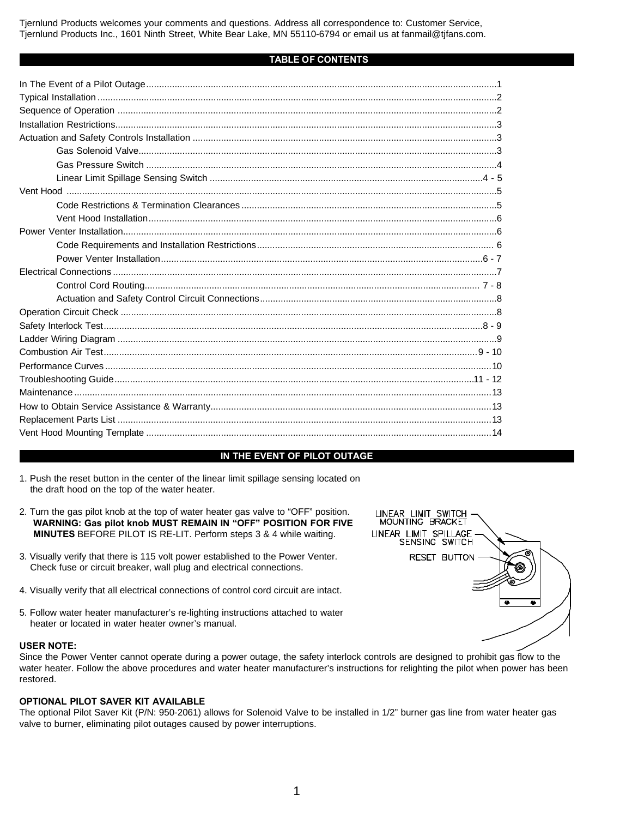Tjernlund Products welcomes your comments and questions. Address all correspondence to: Customer Service, Tjernlund Products Inc., 1601 Ninth Street, White Bear Lake, MN 55110-6794 or email us at fanmail@tjfans.com.

#### **TABLE OF CONTENTS**

### **IN THE EVENT OF PILOT OUTAGE**

- 1. Push the reset button in the center of the linear limit spillage sensing located on the draft hood on the top of the water heater.
- 2. Turn the gas pilot knob at the top of water heater gas valve to "OFF" position. **WARNING: Gas pilot knob MUST REMAIN IN "OFF" POSITION FOR FIVE MINUTES** BEFORE PILOT IS RE-LIT. Perform steps 3 & 4 while waiting.
- 3. Visually verify that there is 115 volt power established to the Power Venter. Check fuse or circuit breaker, wall plug and electrical connections.
- 4. Visually verify that all electrical connections of control cord circuit are intact.
- 5. Follow water heater manufacturer's re-lighting instructions attached to water heater or located in water heater owner's manual.

#### **USER NOTE:**

Since the Power Venter cannot operate during a power outage, the safety interlock controls are designed to prohibit gas flow to the water heater. Follow the above procedures and water heater manufacturer's instructions for relighting the pilot when power has been restored.

#### **OPTIONAL PILOT SAVER KIT AVAILABLE**

The optional Pilot Saver Kit (P/N: 950-2061) allows for Solenoid Valve to be installed in 1/2" burner gas line from water heater gas valve to burner, eliminating pilot outages caused by power interruptions.

| LINEAR LIMIT SWITCH<br>MOUNTING BRACKET |  |
|-----------------------------------------|--|
| LINEAR LIMIT SPILLAGE<br>SENSING SWITCH |  |
| RESET BUTTON                            |  |
|                                         |  |
|                                         |  |
|                                         |  |
|                                         |  |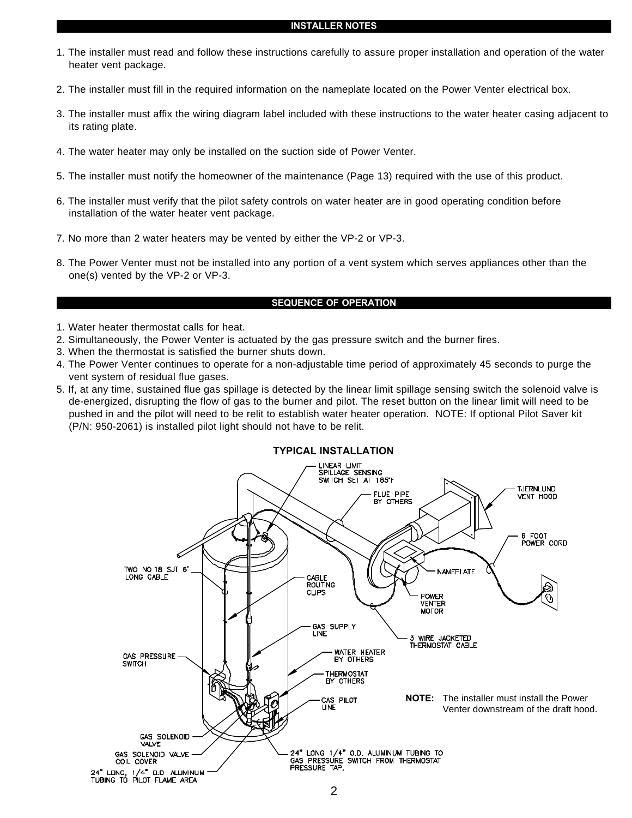- 1. The installer must read and follow these instructions carefully to assure proper installation and operation of the water heater vent package.
- 2. The installer must fill in the required information on the nameplate located on the Power Venter electrical box.
- 3. The installer must affix the wiring diagram label included with these instructions to the water heater casing adjacent to its rating plate.
- 4. The water heater may only be installed on the suction side of Power Venter.
- 5. The installer must notify the homeowner of the maintenance (Page 13) required with the use of this product.
- 6. The installer must verify that the pilot safety controls on water heater are in good operating condition before installation of the water heater vent package.
- 7. No more than 2 water heaters may be vented by either the VP-2 or VP-3.
- 8. The Power Venter must not be installed into any portion of a vent system which serves appliances other than the one(s) vented by the VP-2 or VP-3.

### **SEQUENCE OF OPERATION**

- 1. Water heater thermostat calls for heat.
- 2. Simultaneously, the Power Venter is actuated by the gas pressure switch and the burner fires.
- 3. When the thermostat is satisfied the burner shuts down.
- 4. The Power Venter continues to operate for a non-adjustable time period of approximately 45 seconds to purge the vent system of residual flue gases.
- 5. If, at any time, sustained flue gas spillage is detected by the linear limit spillage sensing switch the solenoid valve is de-energized, disrupting the flow of gas to the burner and pilot. The reset button on the linear limit will need to be pushed in and the pilot will need to be relit to establish water heater operation. NOTE: If optional Pilot Saver kit (P/N: 950-2061) is installed pilot light should not have to be relit.

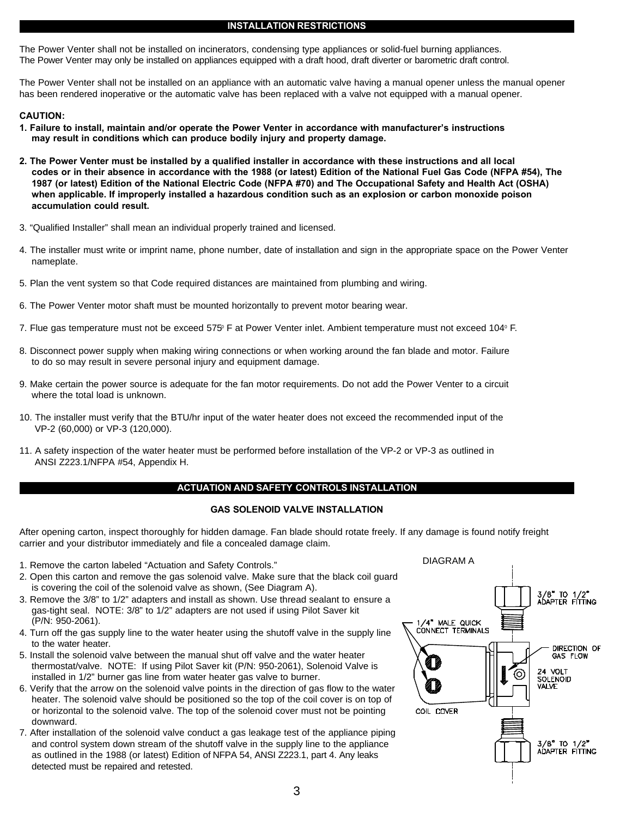#### **INSTALLATION RESTRICTIONS**

The Power Venter shall not be installed on incinerators, condensing type appliances or solid-fuel burning appliances. The Power Venter may only be installed on appliances equipped with a draft hood, draft diverter or barometric draft control.

The Power Venter shall not be installed on an appliance with an automatic valve having a manual opener unless the manual opener has been rendered inoperative or the automatic valve has been replaced with a valve not equipped with a manual opener.

#### **CAUTION:**

- **1. Failure to install, maintain and/or operate the Power Venter in accordance with manufacturer's instructions may result in conditions which can produce bodily injury and property damage.**
- **2. The Power Venter must be installed by a qualified installer in accordance with these instructions and all local codes or in their absence in accordance with the 1988 (or latest) Edition of the National Fuel Gas Code (NFPA #54), The 1987 (or latest) Edition of the National Electric Code (NFPA #70) and The Occupational Safety and Health Act (OSHA) when applicable. If improperly installed a hazardous condition such as an explosion or carbon monoxide poison accumulation could result.**
- 3. "Qualified Installer" shall mean an individual properly trained and licensed.
- 4. The installer must write or imprint name, phone number, date of installation and sign in the appropriate space on the Power Venter nameplate.
- 5. Plan the vent system so that Code required distances are maintained from plumbing and wiring.
- 6. The Power Venter motor shaft must be mounted horizontally to prevent motor bearing wear.
- 7. Flue gas temperature must not be exceed 575° F at Power Venter inlet. Ambient temperature must not exceed 104° F.
- 8. Disconnect power supply when making wiring connections or when working around the fan blade and motor. Failure to do so may result in severe personal injury and equipment damage.
- 9. Make certain the power source is adequate for the fan motor requirements. Do not add the Power Venter to a circuit where the total load is unknown.
- 10. The installer must verify that the BTU/hr input of the water heater does not exceed the recommended input of the VP-2 (60,000) or VP-3 (120,000).
- 11. A safety inspection of the water heater must be performed before installation of the VP-2 or VP-3 as outlined in ANSI Z223.1/NFPA #54, Appendix H.

#### **ACTUATION AND SAFETY CONTROLS INSTALLATION**

#### **GAS SOLENOID VALVE INSTALLATION**

After opening carton, inspect thoroughly for hidden damage. Fan blade should rotate freely. If any damage is found notify freight carrier and your distributor immediately and file a concealed damage claim.

- 1. Remove the carton labeled "Actuation and Safety Controls."
- 2. Open this carton and remove the gas solenoid valve. Make sure that the black coil guard is covering the coil of the solenoid valve as shown, (See Diagram A).
- 3. Remove the 3/8" to 1/2" adapters and install as shown. Use thread sealant to ensure a gas-tight seal. NOTE: 3/8" to 1/2" adapters are not used if using Pilot Saver kit (P/N: 950-2061).
- 4. Turn off the gas supply line to the water heater using the shutoff valve in the supply line to the water heater.
- 5. Install the solenoid valve between the manual shut off valve and the water heater thermostat/valve. NOTE: If using Pilot Saver kit (P/N: 950-2061), Solenoid Valve is installed in 1/2" burner gas line from water heater gas valve to burner.
- 6. Verify that the arrow on the solenoid valve points in the direction of gas flow to the water heater. The solenoid valve should be positioned so the top of the coil cover is on top of or horizontal to the solenoid valve. The top of the solenoid cover must not be pointing downward.
- 7. After installation of the solenoid valve conduct a gas leakage test of the appliance piping and control system down stream of the shutoff valve in the supply line to the appliance as outlined in the 1988 (or latest) Edition of NFPA 54, ANSI Z223.1, part 4. Any leaks detected must be repaired and retested.

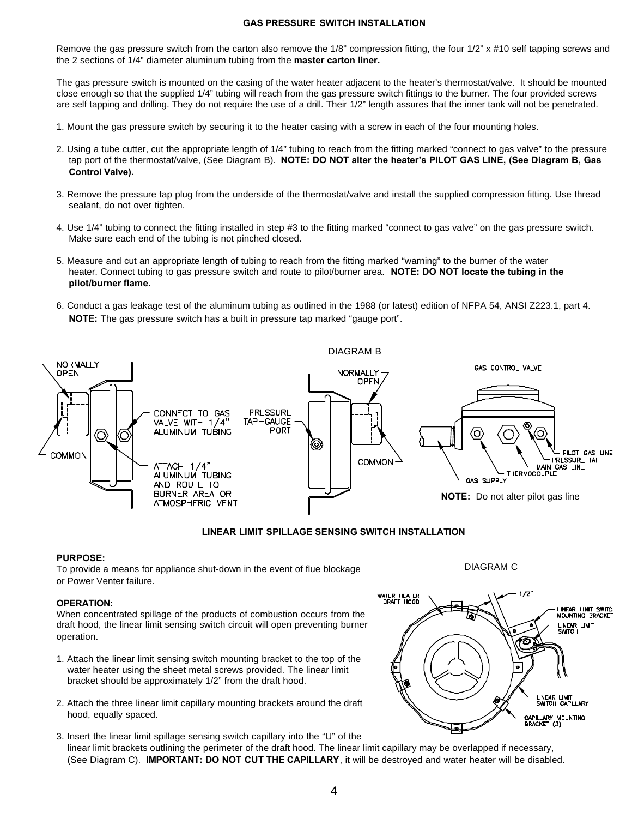#### **GAS PRESSURE SWITCH INSTALLATION**

Remove the gas pressure switch from the carton also remove the 1/8" compression fitting, the four 1/2" x #10 self tapping screws and the 2 sections of 1/4" diameter aluminum tubing from the **master carton liner.**

The gas pressure switch is mounted on the casing of the water heater adjacent to the heater's thermostat/valve. It should be mounted close enough so that the supplied 1/4" tubing will reach from the gas pressure switch fittings to the burner. The four provided screws are self tapping and drilling. They do not require the use of a drill. Their 1/2" length assures that the inner tank will not be penetrated.

- 1. Mount the gas pressure switch by securing it to the heater casing with a screw in each of the four mounting holes.
- 2. Using a tube cutter, cut the appropriate length of 1/4" tubing to reach from the fitting marked "connect to gas valve" to the pressure tap port of the thermostat/valve, (See Diagram B). **NOTE: DO NOT alter the heater's PILOT GAS LINE, (See Diagram B, Gas Control Valve).**
- 3. Remove the pressure tap plug from the underside of the thermostat/valve and install the supplied compression fitting. Use thread sealant, do not over tighten.
- 4. Use 1/4" tubing to connect the fitting installed in step #3 to the fitting marked "connect to gas valve" on the gas pressure switch. Make sure each end of the tubing is not pinched closed.
- 5. Measure and cut an appropriate length of tubing to reach from the fitting marked "warning" to the burner of the water heater. Connect tubing to gas pressure switch and route to pilot/burner area. **NOTE: DO NOT locate the tubing in the pilot/burner flame.**
- 6. Conduct a gas leakage test of the aluminum tubing as outlined in the 1988 (or latest) edition of NFPA 54, ANSI Z223.1, part 4. **NOTE:** The gas pressure switch has a built in pressure tap marked "gauge port".



#### **LINEAR LIMIT SPILLAGE SENSING SWITCH INSTALLATION**

#### **PURPOSE:**

To provide a means for appliance shut-down in the event of flue blockage or Power Venter failure.

#### **OPERATION:**

When concentrated spillage of the products of combustion occurs from the draft hood, the linear limit sensing switch circuit will open preventing burner operation.

- 1. Attach the linear limit sensing switch mounting bracket to the top of the water heater using the sheet metal screws provided. The linear limit bracket should be approximately 1/2" from the draft hood.
- 2. Attach the three linear limit capillary mounting brackets around the draft hood, equally spaced.
- 3. Insert the linear limit spillage sensing switch capillary into the "U" of the linear limit brackets outlining the perimeter of the draft hood. The linear limit capillary may be overlapped if necessary, (See Diagram C). **IMPORTANT: DO NOT CUT THE CAPILLARY**, it will be destroyed and water heater will be disabled.



DIAGRAM C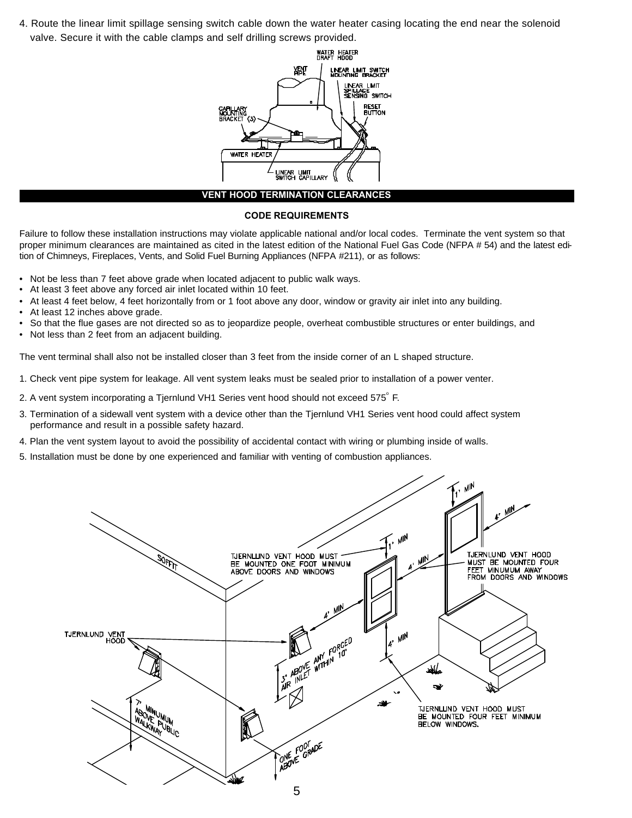4. Route the linear limit spillage sensing switch cable down the water heater casing locating the end near the solenoid valve. Secure it with the cable clamps and self drilling screws provided.



#### **VENT HOOD TERMINATION CLEARANCES**

#### **CODE REQUIREMENTS**

Failure to follow these installation instructions may violate applicable national and/or local codes. Terminate the vent system so that proper minimum clearances are maintained as cited in the latest edition of the National Fuel Gas Code (NFPA # 54) and the latest edition of Chimneys, Fireplaces, Vents, and Solid Fuel Burning Appliances (NFPA #211), or as follows:

- Not be less than 7 feet above grade when located adjacent to public walk ways.
- At least 3 feet above any forced air inlet located within 10 feet.
- At least 4 feet below, 4 feet horizontally from or 1 foot above any door, window or gravity air inlet into any building.
- At least 12 inches above grade.
- So that the flue gases are not directed so as to jeopardize people, overheat combustible structures or enter buildings, and
- Not less than 2 feet from an adjacent building.

The vent terminal shall also not be installed closer than 3 feet from the inside corner of an L shaped structure.

- 1. Check vent pipe system for leakage. All vent system leaks must be sealed prior to installation of a power venter.
- 2. A vent system incorporating a Tjernlund VH1 Series vent hood should not exceed 575°F.
- 3. Termination of a sidewall vent system with a device other than the Tjernlund VH1 Series vent hood could affect system performance and result in a possible safety hazard.
- 4. Plan the vent system layout to avoid the possibility of accidental contact with wiring or plumbing inside of walls.
- 5. Installation must be done by one experienced and familiar with venting of combustion appliances.

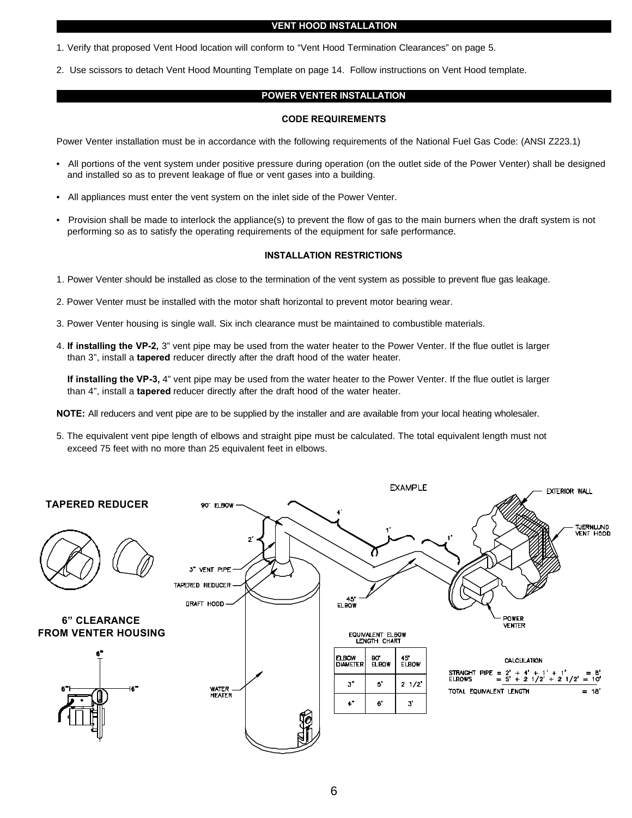#### **VENT HOOD INSTALLATION**

1. Verify that proposed Vent Hood location will conform to "Vent Hood Termination Clearances" on page 5.

2. Use scissors to detach Vent Hood Mounting Template on page 14. Follow instructions on Vent Hood template.

### **POWER VENTER INSTALLATION**

#### **CODE REQUIREMENTS**

Power Venter installation must be in accordance with the following requirements of the National Fuel Gas Code: (ANSI Z223.1)

- All portions of the vent system under positive pressure during operation (on the outlet side of the Power Venter) shall be designed and installed so as to prevent leakage of flue or vent gases into a building.
- All appliances must enter the vent system on the inlet side of the Power Venter.
- Provision shall be made to interlock the appliance(s) to prevent the flow of gas to the main burners when the draft system is not performing so as to satisfy the operating requirements of the equipment for safe performance.

#### **INSTALLATION RESTRICTIONS**

- 1. Power Venter should be installed as close to the termination of the vent system as possible to prevent flue gas leakage.
- 2. Power Venter must be installed with the motor shaft horizontal to prevent motor bearing wear.
- 3. Power Venter housing is single wall. Six inch clearance must be maintained to combustible materials.
- 4. **If installing the VP-2,** 3" vent pipe may be used from the water heater to the Power Venter. If the flue outlet is larger than 3", install a **tapered** reducer directly after the draft hood of the water heater.

**If installing the VP-3,** 4" vent pipe may be used from the water heater to the Power Venter. If the flue outlet is larger than 4", install a **tapered** reducer directly after the draft hood of the water heater.

**NOTE:** All reducers and vent pipe are to be supplied by the installer and are available from your local heating wholesaler.

5. The equivalent vent pipe length of elbows and straight pipe must be calculated. The total equivalent length must not exceed 75 feet with no more than 25 equivalent feet in elbows.

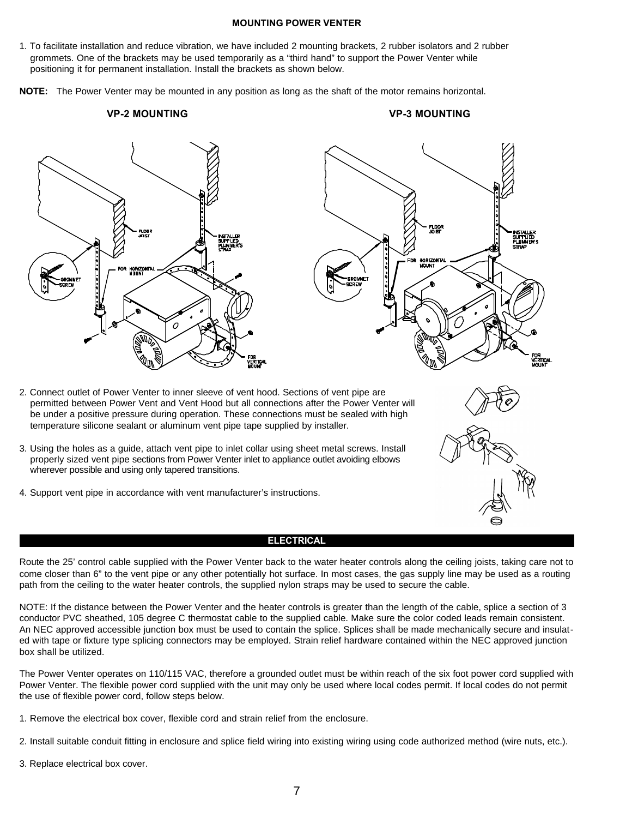#### **MOUNTING POWER VENTER**

1. To facilitate installation and reduce vibration, we have included 2 mounting brackets, 2 rubber isolators and 2 rubber grommets. One of the brackets may be used temporarily as a "third hand" to support the Power Venter while positioning it for permanent installation. Install the brackets as shown below.

**NOTE:** The Power Venter may be mounted in any position as long as the shaft of the motor remains horizontal.

**VP-2 MOUNTING VP-3 MOUNTING**





- 2. Connect outlet of Power Venter to inner sleeve of vent hood. Sections of vent pipe are permitted between Power Vent and Vent Hood but all connections after the Power Venter will be under a positive pressure during operation. These connections must be sealed with high temperature silicone sealant or aluminum vent pipe tape supplied by installer.
- 3. Using the holes as a guide, attach vent pipe to inlet collar using sheet metal screws. Install properly sized vent pipe sections from Power Venter inlet to appliance outlet avoiding elbows wherever possible and using only tapered transitions.
- 4. Support vent pipe in accordance with vent manufacturer's instructions.

#### **ELECTRICAL**

Route the 25' control cable supplied with the Power Venter back to the water heater controls along the ceiling joists, taking care not to come closer than 6" to the vent pipe or any other potentially hot surface. In most cases, the gas supply line may be used as a routing path from the ceiling to the water heater controls, the supplied nylon straps may be used to secure the cable.

NOTE: If the distance between the Power Venter and the heater controls is greater than the length of the cable, splice a section of 3 conductor PVC sheathed, 105 degree C thermostat cable to the supplied cable. Make sure the color coded leads remain consistent. An NEC approved accessible junction box must be used to contain the splice. Splices shall be made mechanically secure and insulated with tape or fixture type splicing connectors may be employed. Strain relief hardware contained within the NEC approved junction box shall be utilized.

The Power Venter operates on 110/115 VAC, therefore a grounded outlet must be within reach of the six foot power cord supplied with Power Venter. The flexible power cord supplied with the unit may only be used where local codes permit. If local codes do not permit the use of flexible power cord, follow steps below.

- 1. Remove the electrical box cover, flexible cord and strain relief from the enclosure.
- 2. Install suitable conduit fitting in enclosure and splice field wiring into existing wiring using code authorized method (wire nuts, etc.).
- 3. Replace electrical box cover.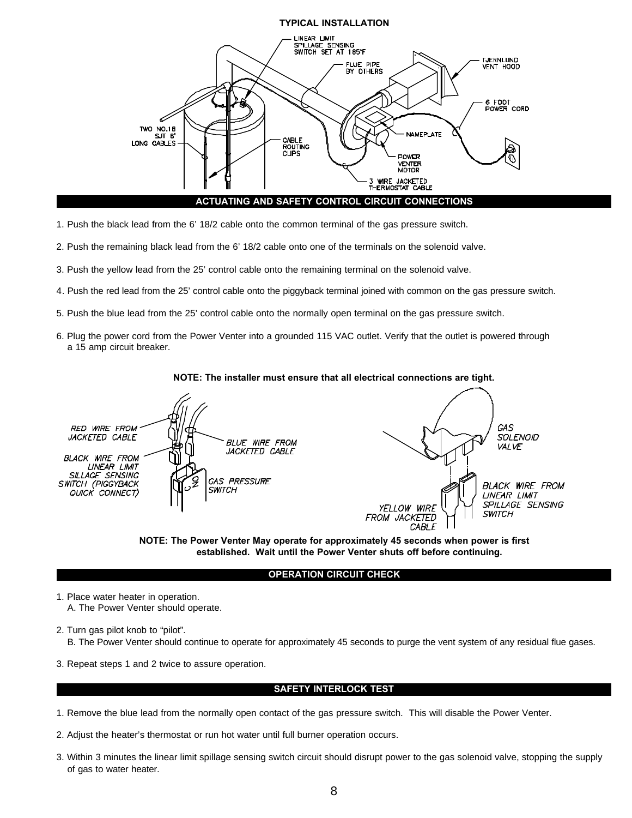

- 1. Push the black lead from the 6' 18/2 cable onto the common terminal of the gas pressure switch.
- 2. Push the remaining black lead from the 6' 18/2 cable onto one of the terminals on the solenoid valve.
- 3. Push the yellow lead from the 25' control cable onto the remaining terminal on the solenoid valve.
- 4. Push the red lead from the 25' control cable onto the piggyback terminal joined with common on the gas pressure switch.
- 5. Push the blue lead from the 25' control cable onto the normally open terminal on the gas pressure switch.
- 6. Plug the power cord from the Power Venter into a grounded 115 VAC outlet. Verify that the outlet is powered through a 15 amp circuit breaker.







#### **OPERATION CIRCUIT CHECK**

- 1. Place water heater in operation. A. The Power Venter should operate.
- 2. Turn gas pilot knob to "pilot". B. The Power Venter should continue to operate for approximately 45 seconds to purge the vent system of any residual flue gases.
- 3. Repeat steps 1 and 2 twice to assure operation.

#### **SAFETY INTERLOCK TEST**

- 1. Remove the blue lead from the normally open contact of the gas pressure switch. This will disable the Power Venter.
- 2. Adjust the heater's thermostat or run hot water until full burner operation occurs.
- 3. Within 3 minutes the linear limit spillage sensing switch circuit should disrupt power to the gas solenoid valve, stopping the supply of gas to water heater.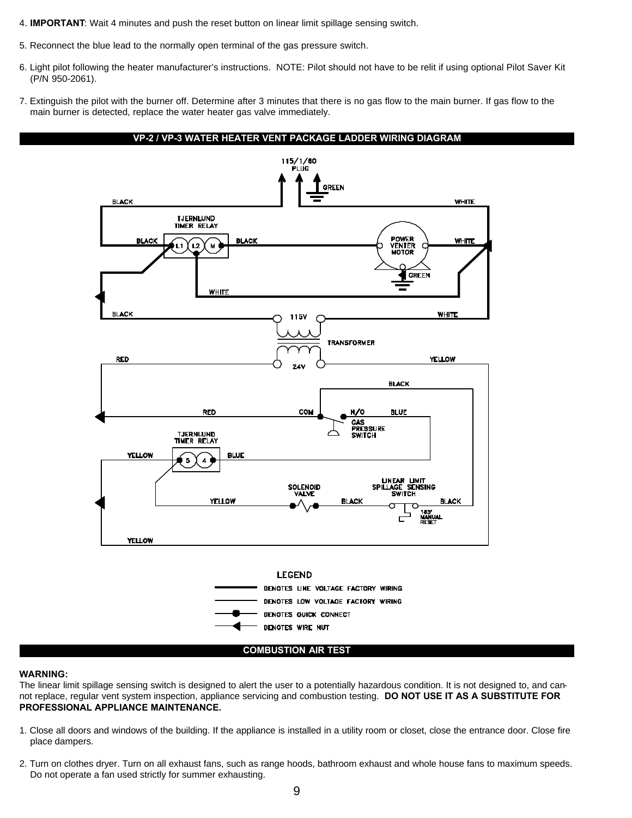4. **IMPORTANT**: Wait 4 minutes and push the reset button on linear limit spillage sensing switch.

- 5. Reconnect the blue lead to the normally open terminal of the gas pressure switch.
- 6. Light pilot following the heater manufacturer's instructions. NOTE: Pilot should not have to be relit if using optional Pilot Saver Kit (P/N 950-2061).
- 7. Extinguish the pilot with the burner off. Determine after 3 minutes that there is no gas flow to the main burner. If gas flow to the main burner is detected, replace the water heater gas valve immediately.



#### **WARNING:**

The linear limit spillage sensing switch is designed to alert the user to a potentially hazardous condition. It is not designed to, and cannot replace, regular vent system inspection, appliance servicing and combustion testing. **DO NOT USE IT AS A SUBSTITUTE FOR PROFESSIONAL APPLIANCE MAINTENANCE.**

- 1. Close all doors and windows of the building. If the appliance is installed in a utility room or closet, close the entrance door. Close fire place dampers.
- 2. Turn on clothes dryer. Turn on all exhaust fans, such as range hoods, bathroom exhaust and whole house fans to maximum speeds. Do not operate a fan used strictly for summer exhausting.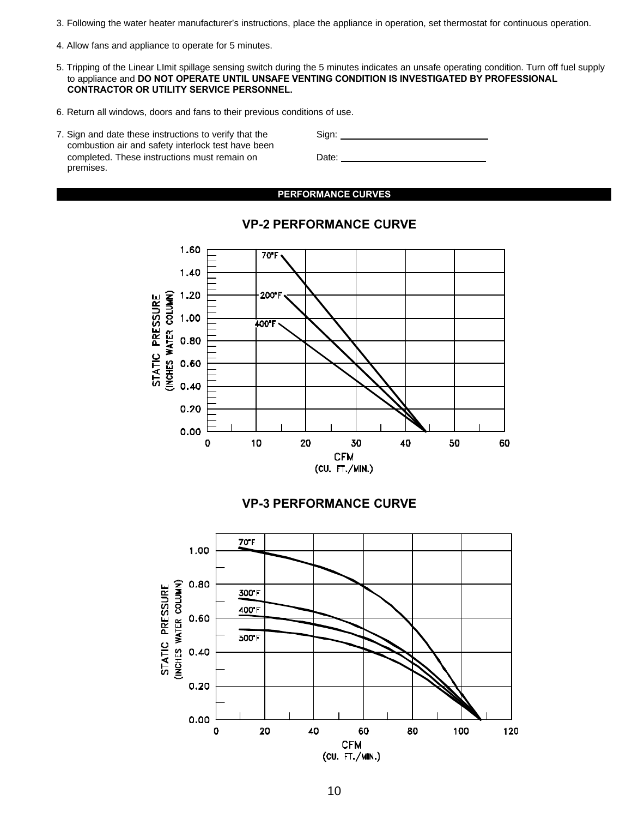- 3. Following the water heater manufacturer's instructions, place the appliance in operation, set thermostat for continuous operation.
- 4. Allow fans and appliance to operate for 5 minutes.
- 5. Tripping of the Linear LImit spillage sensing switch during the 5 minutes indicates an unsafe operating condition. Turn off fuel supply to appliance and **DO NOT OPERATE UNTIL UNSAFE VENTING CONDITION IS INVESTIGATED BY PROFESSIONAL CONTRACTOR OR UTILITY SERVICE PERSONNEL.**
- 6. Return all windows, doors and fans to their previous conditions of use.
- 7. Sign and date these instructions to verify that the Sign: combustion air and safety interlock test have been completed. These instructions must remain on Date: premises.

**PERFORMANCE CURVES**



### **VP-2 PERFORMANCE CURVE**

### **VP-3 PERFORMANCE CURVE**

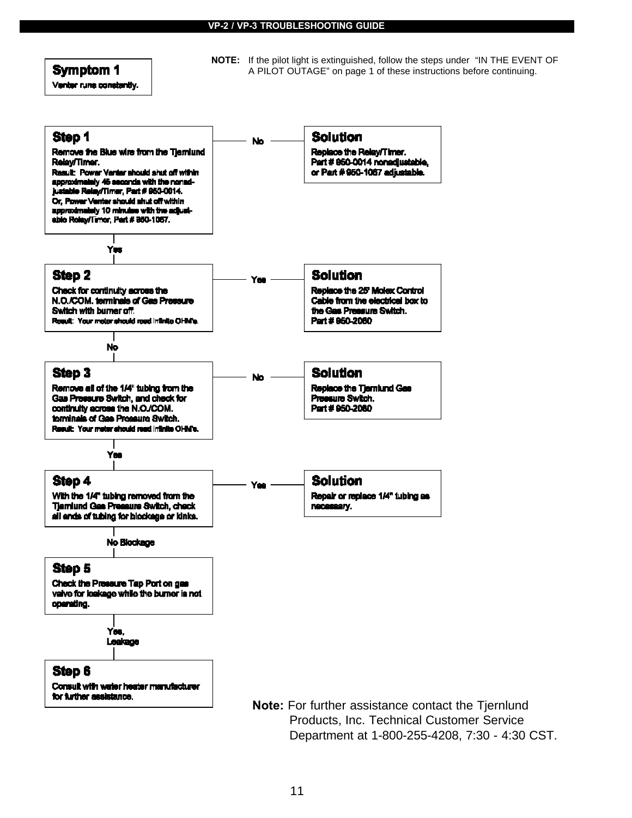### **Symptom 1**

Venbyr runs constantly.

**NOTE:** If the pilot light is extinguished, follow the steps under "IN THE EVENT OF A PILOT OUTAGE" on page 1 of these instructions before continuing.

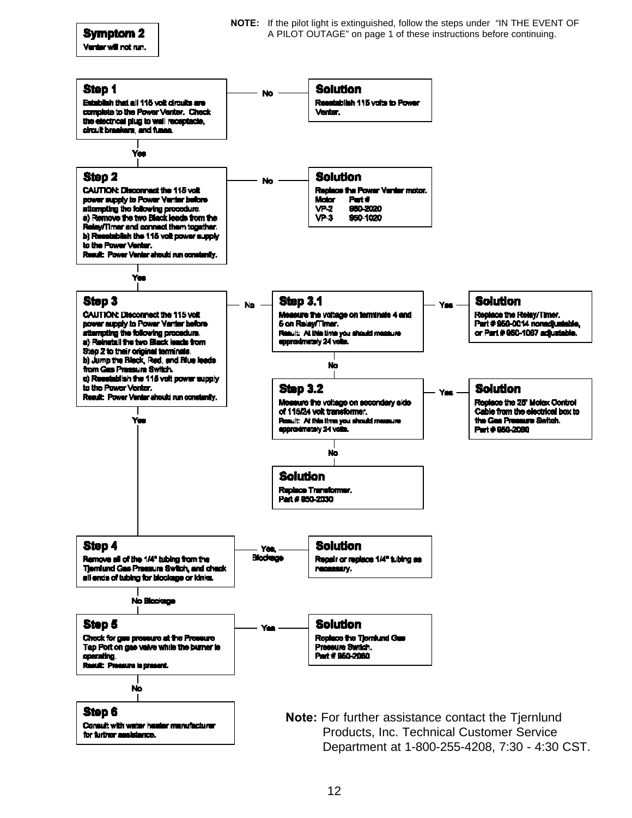Venter will not run.

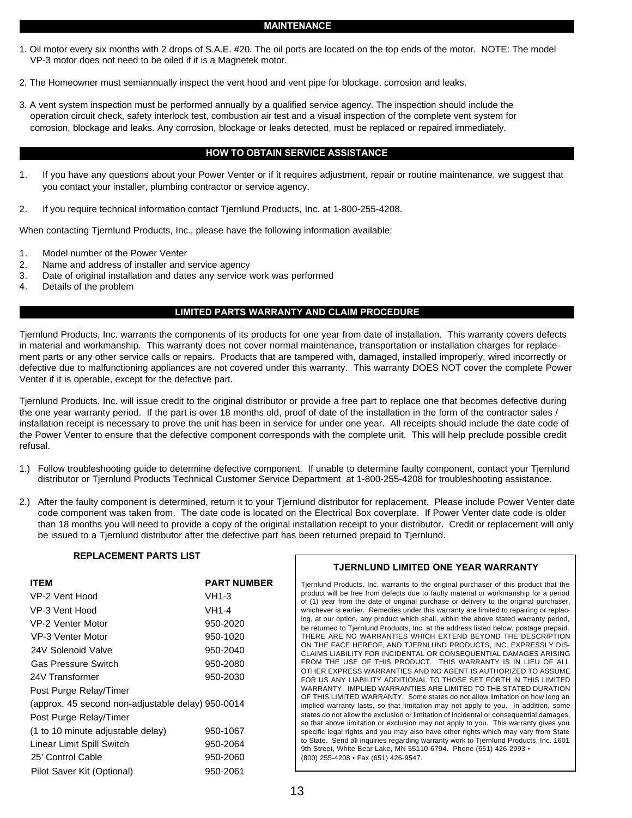#### **MAINTENANCE**

- 1. Oil motor every six months with 2 drops of S.A.E. #20. The oil ports are located on the top ends of the motor. NOTE: The model VP-3 motor does not need to be oiled if it is a Magnetek motor.
- 2. The Homeowner must semiannually inspect the vent hood and vent pipe for blockage, corrosion and leaks.
- 3. A vent system inspection must be performed annually by a qualified service agency. The inspection should include the operation circuit check, safety interlock test, combustion air test and a visual inspection of the complete vent system for corrosion, blockage and leaks. Any corrosion, blockage or leaks detected, must be replaced or repaired immediately.

#### **HOW TO OBTAIN SERVICE ASSISTANCE**

- 1. If you have any questions about your Power Venter or if it requires adjustment, repair or routine maintenance, we suggest that you contact your installer, plumbing contractor or service agency.
- 2. If you require technical information contact Tjernlund Products, Inc. at 1-800-255-4208.

When contacting Tjernlund Products, Inc., please have the following information available:

- 1. Model number of the Power Venter
- 2. Name and address of installer and service agency
- 3. Date of original installation and dates any service work was performed
- 4. Details of the problem

#### **LIMITED PARTS WARRANTY AND CLAIM PROCEDURE**

Tjernlund Products, Inc. warrants the components of its products for one year from date of installation. This warranty covers defects in material and workmanship. This warranty does not cover normal maintenance, transportation or installation charges for replacement parts or any other service calls or repairs. Products that are tampered with, damaged, installed improperly, wired incorrectly or defective due to malfunctioning appliances are not covered under this warranty. This warranty DOES NOT cover the complete Power Venter if it is operable, except for the defective part.

Tjernlund Products, Inc. will issue credit to the original distributor or provide a free part to replace one that becomes defective during the one year warranty period. If the part is over 18 months old, proof of date of the installation in the form of the contractor sales / installation receipt is necessary to prove the unit has been in service for under one year. All receipts should include the date code of the Power Venter to ensure that the defective component corresponds with the complete unit. This will help preclude possible credit refusal.

- 1.) Follow troubleshooting guide to determine defective component. If unable to determine faulty component, contact your Tjernlund distributor or Tjernlund Products Technical Customer Service Department at 1-800-255-4208 for troubleshooting assistance.
- 2.) After the faulty component is determined, return it to your Tjernlund distributor for replacement. Please include Power Venter date code component was taken from. The date code is located on the Electrical Box coverplate. If Power Venter date code is older than 18 months you will need to provide a copy of the original installation receipt to your distributor. Credit or replacement will only be issued to a Tjernlund distributor after the defective part has been returned prepaid to Tjernlund.

#### **REPLACEMENT PARTS LIST**

| <b>ITEM</b>                                       | <b>PART NUMBER</b> |
|---------------------------------------------------|--------------------|
| VP-2 Vent Hood                                    | $VH1-3$            |
| VP-3 Vent Hood                                    | $VH1-4$            |
| VP-2 Venter Motor                                 | 950-2020           |
| VP-3 Venter Motor                                 | 950-1020           |
| 24V Solenoid Valve                                | 950-2040           |
| <b>Gas Pressure Switch</b>                        | 950-2080           |
| 24V Transformer                                   | 950-2030           |
| Post Purge Relay/Timer                            |                    |
| (approx. 45 second non-adjustable delay) 950-0014 |                    |
| Post Purge Relay/Timer                            |                    |
| (1 to 10 minute adjustable delay)                 | 950-1067           |
| Linear Limit Spill Switch                         | 950-2064           |
| 25' Control Cable                                 | 950-2060           |
| Pilot Saver Kit (Optional)                        | 950-2061           |

#### **TJERNLUND LIMITED ONE YEAR WARRANTY**

Tjernlund Products, Inc. warrants to the original purchaser of this product that the product will be free from defects due to faulty material or workmanship for a period of (1) year from the date of original purchase or delivery to the original purchaser, whichever is earlier. Remedies under this warranty are limited to repairing or replacing, at our option, any product which shall, within the above stated warranty period, be returned to Tjernlund Products, Inc. at the address listed below, postage prepaid. THERE ARE NO WARRANTIES WHICH EXTEND BEYOND THE DESCRIPTION ON THE FACE HEREOF, AND TJERNLUND PRODUCTS, INC. EXPRESSLY DIS-CLAIMS LIABILITY FOR INCIDENTAL OR CONSEQUENTIAL DAMAGES ARISING FROM THE USE OF THIS PRODUCT. THIS WARRANTY IS IN LIEU OF ALL OTHER EXPRESS WARRANTIES AND NO AGENT IS AUTHORIZED TO ASSUME FOR US ANY LIABILITY ADDITIONAL TO THOSE SET FORTH IN THIS LIMITED WARRANTY. IMPLIED WARRANTIES ARE LIMITED TO THE STATED DURATION OF THIS LIMITED WARRANTY. Some states do not allow limitation on how long an implied warranty lasts, so that limitation may not apply to you. In addition, some states do not allow the exclusion or limitation of incidental or consequential damages, so that above limitation or exclusion may not apply to you. This warranty gives you specific legal rights and you may also have other rights which may vary from State to State. Send all inquiries regarding warranty work to Tjernlund Products, Inc. 1601 9th Street, White Bear Lake, MN 55110-6794. Phone (651) 426-2993 • (800) 255-4208 • Fax (651) 426-9547.